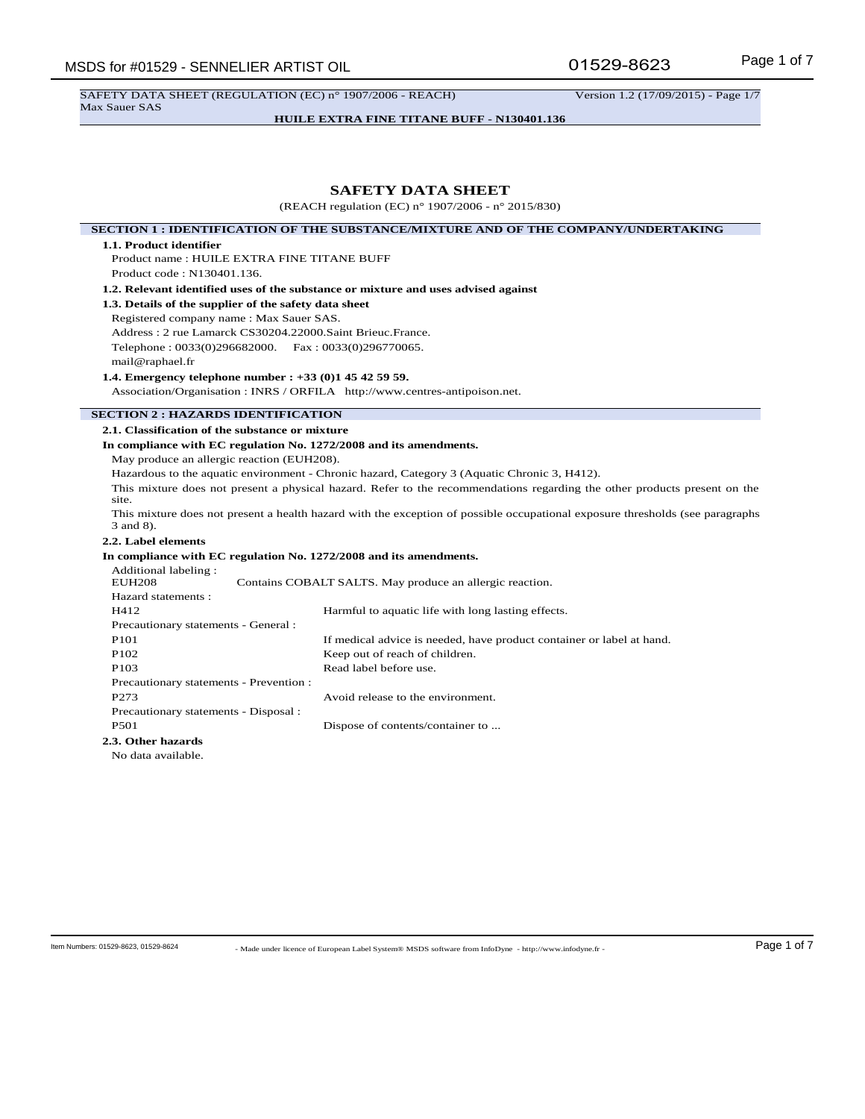SAFETY DATA SHEET (REGULATION (EC) n° 1907/2006 - REACH) Version 1.2 (17/09/2015) - Page 1/7 Max Sauer SAS

**HUILE EXTRA FINE TITANE BUFF - N130401.136**

# **SAFETY DATA SHEET**

(REACH regulation (EC) n° 1907/2006 - n° 2015/830)

**SECTION 1 : IDENTIFICATION OF THE SUBSTANCE/MIXTURE AND OF THE COMPANY/UNDERTAKING**

# **1.1. Product identifier**

Product name : HUILE EXTRA FINE TITANE BUFF Product code : N130401.136.

**1.2. Relevant identified uses of the substance or mixture and uses advised against**

**1.3. Details of the supplier of the safety data sheet**

Registered company name : Max Sauer SAS. Address : 2 rue Lamarck CS30204.22000.Saint Brieuc.France. Telephone : 0033(0)296682000. Fax : 0033(0)296770065. mail@raphael.fr

**1.4. Emergency telephone number : +33 (0)1 45 42 59 59.**

Association/Organisation : INRS / ORFILA http://www.centres-antipoison.net.

# **SECTION 2 : HAZARDS IDENTIFICATION**

#### **2.1. Classification of the substance or mixture**

#### **In compliance with EC regulation No. 1272/2008 and its amendments.**

May produce an allergic reaction (EUH208).

Hazardous to the aquatic environment - Chronic hazard, Category 3 (Aquatic Chronic 3, H412).

This mixture does not present a physical hazard. Refer to the recommendations regarding the other products present on the site.

This mixture does not present a health hazard with the exception of possible occupational exposure thresholds (see paragraphs 3 and 8).

# **2.2. Label elements**

# **In compliance with EC regulation No. 1272/2008 and its amendments.**

| Additional labeling:<br><b>EUH208</b>   | Contains COBALT SALTS. May produce an allergic reaction.              |  |
|-----------------------------------------|-----------------------------------------------------------------------|--|
| Hazard statements :                     |                                                                       |  |
| H412                                    | Harmful to aquatic life with long lasting effects.                    |  |
| Precautionary statements - General :    |                                                                       |  |
| P <sub>101</sub>                        | If medical advice is needed, have product container or label at hand. |  |
| P <sub>102</sub>                        | Keep out of reach of children.                                        |  |
| P <sub>103</sub>                        | Read label before use.                                                |  |
| Precautionary statements - Prevention : |                                                                       |  |
| P273                                    | Avoid release to the environment.                                     |  |
| Precautionary statements - Disposal :   |                                                                       |  |
| P <sub>501</sub>                        | Dispose of contents/container to                                      |  |
| 2.3. Other hazards                      |                                                                       |  |
| No data available.                      |                                                                       |  |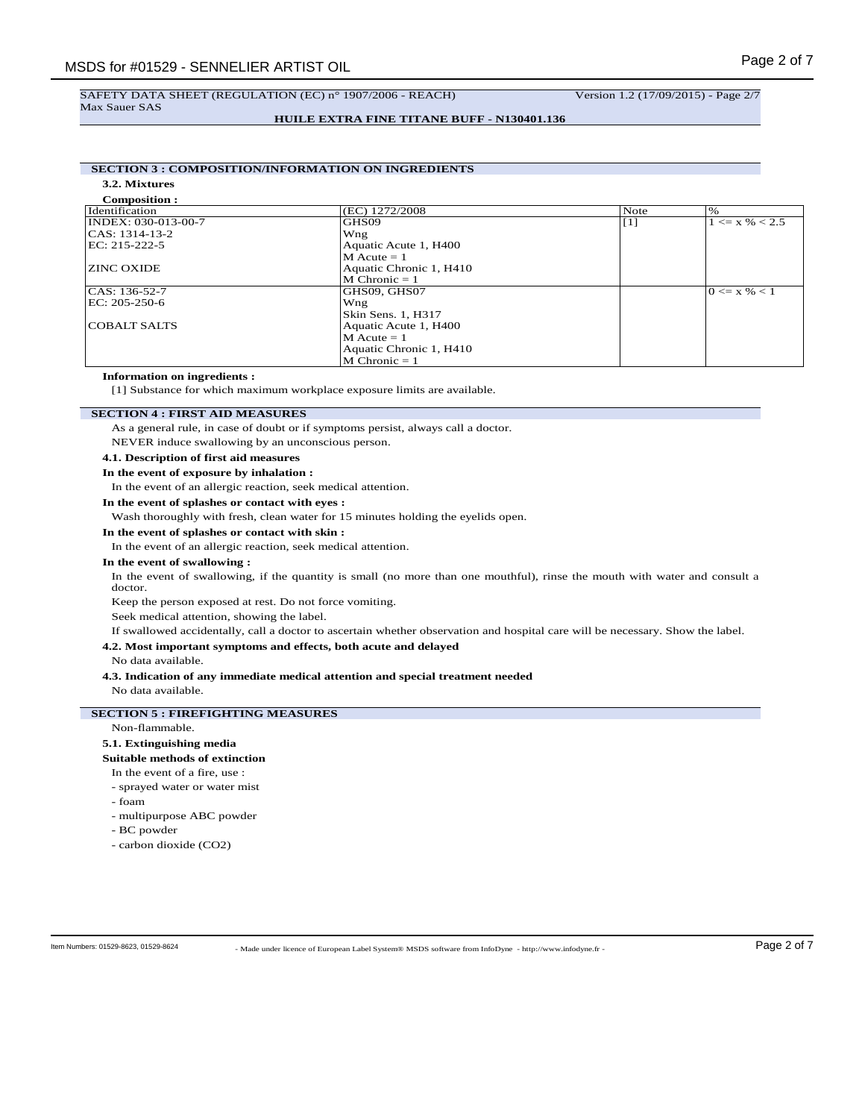### **HUILE EXTRA FINE TITANE BUFF - N130401.136**

# **SECTION 3 : COMPOSITION/INFORMATION ON INGREDIENTS**

**3.2. Mixtures**

| <b>Composition:</b> |                         |      |                    |
|---------------------|-------------------------|------|--------------------|
| Identification      | (EC) 1272/2008          | Note | $\%$               |
| INDEX: 030-013-00-7 | GHS09                   | [1]  | $1 \le x \% < 2.5$ |
| CAS: 1314-13-2      | Wng                     |      |                    |
| EC: 215-222-5       | Aquatic Acute 1, H400   |      |                    |
|                     | $M$ Acute = 1           |      |                    |
| <b>ZINC OXIDE</b>   | Aquatic Chronic 1, H410 |      |                    |
|                     | $M$ Chronic = 1         |      |                    |
| $ CAS: 136-52-7$    | GHS09, GHS07            |      | $0 \le x \% < 1$   |
| EC: 205-250-6       | Wng                     |      |                    |
|                     | Skin Sens. 1, H317      |      |                    |
| COBALT SALTS        | Aquatic Acute 1, H400   |      |                    |
|                     | $M$ Acute = 1           |      |                    |
|                     | Aquatic Chronic 1, H410 |      |                    |
|                     | $M$ Chronic = 1         |      |                    |

# **Information on ingredients :**

[1] Substance for which maximum workplace exposure limits are available.

## **SECTION 4 : FIRST AID MEASURES**

As a general rule, in case of doubt or if symptoms persist, always call a doctor.

NEVER induce swallowing by an unconscious person.

## **4.1. Description of first aid measures**

## **In the event of exposure by inhalation :**

In the event of an allergic reaction, seek medical attention.

# **In the event of splashes or contact with eyes :**

Wash thoroughly with fresh, clean water for 15 minutes holding the eyelids open.

#### **In the event of splashes or contact with skin :**

In the event of an allergic reaction, seek medical attention.

### **In the event of swallowing :**

In the event of swallowing, if the quantity is small (no more than one mouthful), rinse the mouth with water and consult a doctor.

Keep the person exposed at rest. Do not force vomiting.

Seek medical attention, showing the label.

If swallowed accidentally, call a doctor to ascertain whether observation and hospital care will be necessary. Show the label.

# **4.2. Most important symptoms and effects, both acute and delayed**

No data available.

# **4.3. Indication of any immediate medical attention and special treatment needed**

No data available.

# **SECTION 5 : FIREFIGHTING MEASURES**

# Non-flammable.

# **5.1. Extinguishing media**

#### **Suitable methods of extinction**

In the event of a fire, use :

- sprayed water or water mist

- foam
- multipurpose ABC powder
- BC powder
- carbon dioxide (CO2)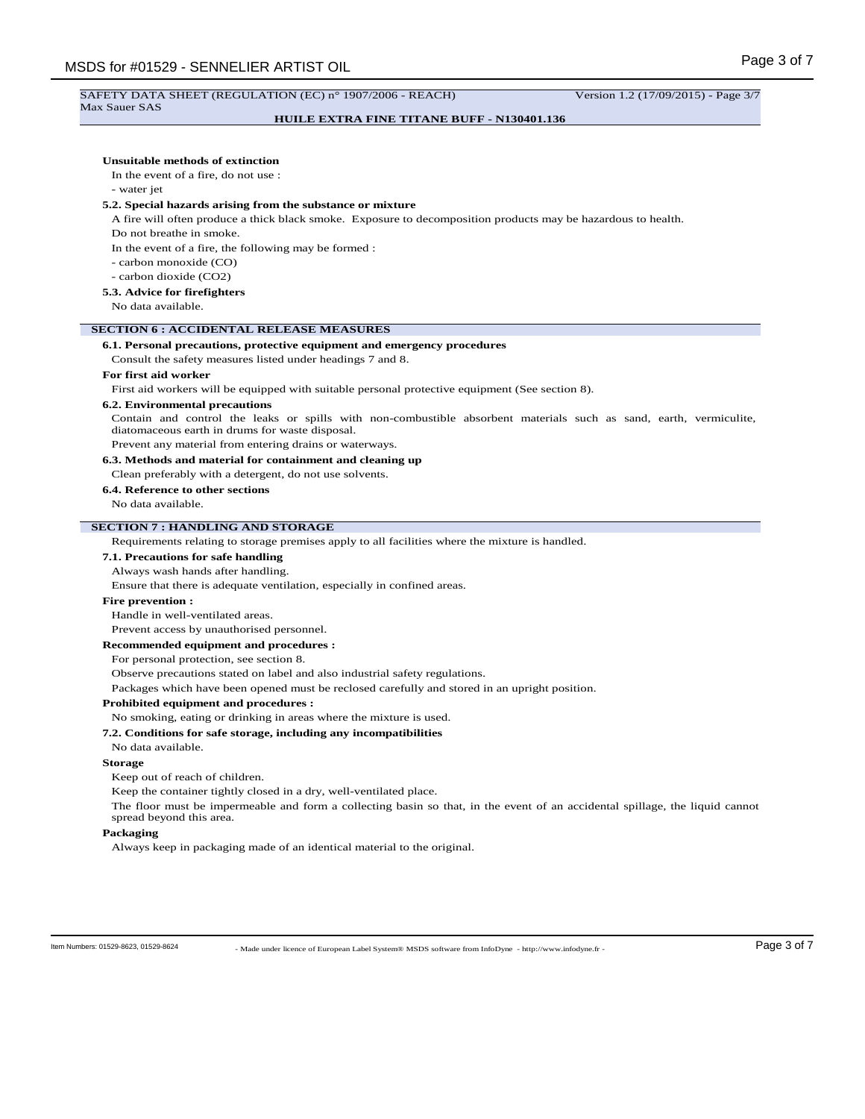#### SAFETY DATA SHEET (REGULATION (EC) n° 1907/2006 - REACH) Version 1.2 (17/09/2015) - Page 3/7 Max Sauer SAS

# **HUILE EXTRA FINE TITANE BUFF - N130401.136**

| Unsuitable methods of extinction<br>In the event of a fire, do not use : |                                                                                                                                                                                                    |
|--------------------------------------------------------------------------|----------------------------------------------------------------------------------------------------------------------------------------------------------------------------------------------------|
| - water jet                                                              |                                                                                                                                                                                                    |
|                                                                          | 5.2. Special hazards arising from the substance or mixture                                                                                                                                         |
|                                                                          | A fire will often produce a thick black smoke. Exposure to decomposition products may be hazardous to health.                                                                                      |
| Do not breathe in smoke.                                                 |                                                                                                                                                                                                    |
|                                                                          | In the event of a fire, the following may be formed :                                                                                                                                              |
| - carbon monoxide (CO)                                                   |                                                                                                                                                                                                    |
| - carbon dioxide (CO2)                                                   |                                                                                                                                                                                                    |
| 5.3. Advice for firefighters                                             |                                                                                                                                                                                                    |
| No data available.                                                       |                                                                                                                                                                                                    |
|                                                                          | <b>SECTION 6 : ACCIDENTAL RELEASE MEASURES</b>                                                                                                                                                     |
|                                                                          | 6.1. Personal precautions, protective equipment and emergency procedures                                                                                                                           |
|                                                                          | Consult the safety measures listed under headings 7 and 8.                                                                                                                                         |
| For first aid worker                                                     |                                                                                                                                                                                                    |
|                                                                          | First aid workers will be equipped with suitable personal protective equipment (See section 8).                                                                                                    |
| <b>6.2. Environmental precautions</b>                                    |                                                                                                                                                                                                    |
|                                                                          | Contain and control the leaks or spills with non-combustible absorbent materials such as sand, earth, vermiculite,<br>diatomaceous earth in drums for waste disposal.                              |
|                                                                          | Prevent any material from entering drains or waterways.                                                                                                                                            |
|                                                                          | 6.3. Methods and material for containment and cleaning up                                                                                                                                          |
|                                                                          | Clean preferably with a detergent, do not use solvents.                                                                                                                                            |
| 6.4. Reference to other sections                                         |                                                                                                                                                                                                    |
| No data available.                                                       |                                                                                                                                                                                                    |
| <b>SECTION 7: HANDLING AND STORAGE</b>                                   |                                                                                                                                                                                                    |
|                                                                          | Requirements relating to storage premises apply to all facilities where the mixture is handled.                                                                                                    |
| 7.1. Precautions for safe handling                                       |                                                                                                                                                                                                    |
| Always wash hands after handling.                                        |                                                                                                                                                                                                    |
|                                                                          | Ensure that there is adequate ventilation, especially in confined areas.                                                                                                                           |
| <b>Fire prevention:</b>                                                  |                                                                                                                                                                                                    |
| Handle in well-ventilated areas.                                         |                                                                                                                                                                                                    |
| Prevent access by unauthorised personnel.                                |                                                                                                                                                                                                    |
| Recommended equipment and procedures :                                   |                                                                                                                                                                                                    |
| For personal protection, see section 8.                                  |                                                                                                                                                                                                    |
|                                                                          | Observe precautions stated on label and also industrial safety regulations.                                                                                                                        |
|                                                                          | Packages which have been opened must be reclosed carefully and stored in an upright position.                                                                                                      |
| <b>Prohibited equipment and procedures :</b>                             |                                                                                                                                                                                                    |
|                                                                          | No smoking, eating or drinking in areas where the mixture is used.                                                                                                                                 |
| No data available.                                                       | 7.2. Conditions for safe storage, including any incompatibilities                                                                                                                                  |
| <b>Storage</b>                                                           |                                                                                                                                                                                                    |
| Keep out of reach of children                                            |                                                                                                                                                                                                    |
| spread beyond this area.                                                 | Keep the container tightly closed in a dry, well-ventilated place.<br>The floor must be impermeable and form a collecting basin so that, in the event of an accidental spillage, the liquid cannot |
| Packaging                                                                |                                                                                                                                                                                                    |
|                                                                          | Always keep in packaging made of an identical material to the original.                                                                                                                            |
|                                                                          |                                                                                                                                                                                                    |
|                                                                          |                                                                                                                                                                                                    |
|                                                                          |                                                                                                                                                                                                    |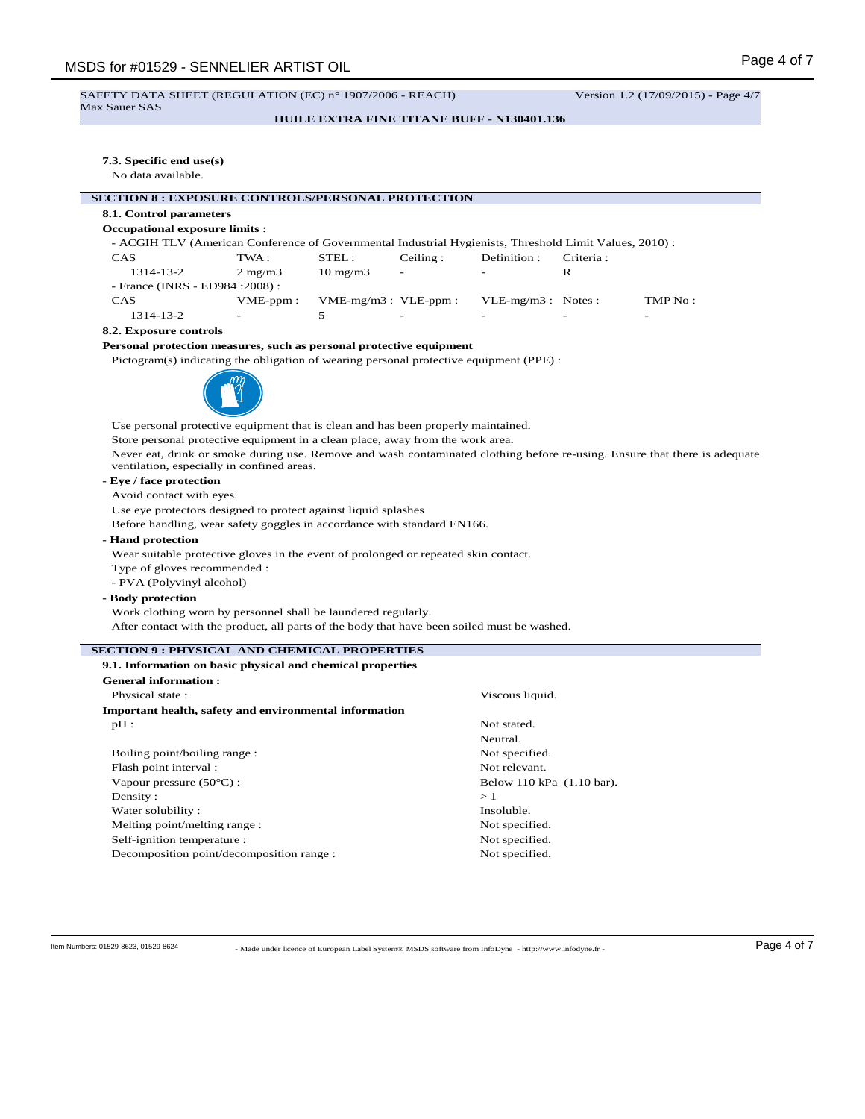# SAFETY DATA SHEET (REGULATION (EC) n° 1907/2006 - REACH) Version 1.2 (17/09/2015) - Page 4/7

Max Sauer SAS

# **HUILE EXTRA FINE TITANE BUFF - N130401.136**

# **7.3. Specific end use(s)**

No data available.

# **SECTION 8 : EXPOSURE CONTROLS/PERSONAL PROTECTION**

# **8.1. Control parameters**

#### **Occupational exposure limits :**

- ACGIH TLV (American Conference of Governmental Industrial Hygienists, Threshold Limit Values, 2010) : CAS TWA : STEL : Ceiling : Definition : Criteria :

| .          | .                                | <u>.</u> .                 | $\sim$ $\sim$ $\sim$      | 100111101011             | <u>under de la s</u>     |         |
|------------|----------------------------------|----------------------------|---------------------------|--------------------------|--------------------------|---------|
| 1314-13-2  | $2 \text{ mg/m}$                 | $10 \text{ mg}/\text{m}$ 3 | $\overline{\phantom{0}}$  | $\sim$                   |                          |         |
|            | - France (INRS - ED984 : 2008) : |                            |                           |                          |                          |         |
| <b>CAS</b> | $VME$ -ppm:                      |                            | $VME-mg/m3$ : $VLE-ppm$ : | $VLE-mg/m3$ : Notes:     |                          | TMP No: |
| 1314-13-2  | $\overline{\phantom{a}}$         |                            | $\overline{\phantom{0}}$  | $\overline{\phantom{0}}$ | $\overline{\phantom{0}}$ | -       |

#### **8.2. Exposure controls**

## **Personal protection measures, such as personal protective equipment**

Pictogram(s) indicating the obligation of wearing personal protective equipment (PPE) :



Use personal protective equipment that is clean and has been properly maintained. Store personal protective equipment in a clean place, away from the work area. Never eat, drink or smoke during use. Remove and wash contaminated clothing before re-using. Ensure that there is adequate ventilation, especially in confined areas.

# **- Eye / face protection**

Avoid contact with eyes.

Use eye protectors designed to protect against liquid splashes

Before handling, wear safety goggles in accordance with standard EN166.

## **- Hand protection**

Wear suitable protective gloves in the event of prolonged or repeated skin contact.

Type of gloves recommended : - PVA (Polyvinyl alcohol)

# **- Body protection**

Work clothing worn by personnel shall be laundered regularly. After contact with the product, all parts of the body that have been soiled must be washed.

# **SECTION 9 : PHYSICAL AND CHEMICAL PROPERTIES**

| 9.1. Information on basic physical and chemical properties |                           |  |
|------------------------------------------------------------|---------------------------|--|
| <b>General information:</b>                                |                           |  |
| Physical state:                                            | Viscous liquid.           |  |
| Important health, safety and environmental information     |                           |  |
| $pH$ :                                                     | Not stated.               |  |
|                                                            | Neutral.                  |  |
| Boiling point/boiling range:                               | Not specified.            |  |
| Flash point interval :                                     | Not relevant.             |  |
| Vapour pressure $(50^{\circ}C)$ :                          | Below 110 kPa (1.10 bar). |  |
| Density:                                                   | >1                        |  |
| Water solubility:                                          | Insoluble.                |  |
| Melting point/melting range:                               | Not specified.            |  |
| Self-ignition temperature :                                | Not specified.            |  |
| Decomposition point/decomposition range:                   | Not specified.            |  |

- Made under licence of European Label System® MSDS software from InfoDyne - http://www.infodyne.fr - Item Numbers: 01529-8623, 01529-8624 Page 4 of 7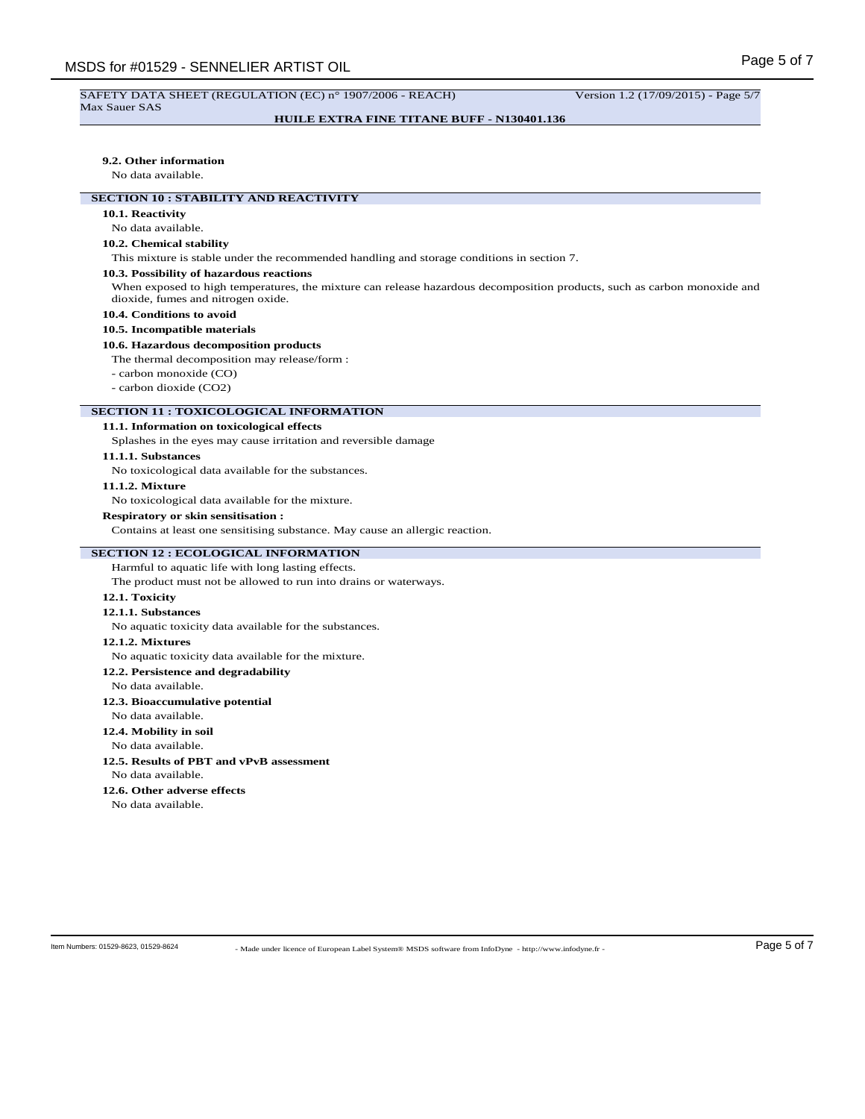# **HUILE EXTRA FINE TITANE BUFF - N130401.136**

#### **9.2. Other information**

No data available.

# **SECTION 10 : STABILITY AND REACTIVITY**

# **10.1. Reactivity**

No data available.

# **10.2. Chemical stability**

This mixture is stable under the recommended handling and storage conditions in section 7.

#### **10.3. Possibility of hazardous reactions**

When exposed to high temperatures, the mixture can release hazardous decomposition products, such as carbon monoxide and dioxide, fumes and nitrogen oxide.

## **10.4. Conditions to avoid**

#### **10.5. Incompatible materials**

#### **10.6. Hazardous decomposition products**

The thermal decomposition may release/form :

- carbon monoxide (CO)

- carbon dioxide (CO2)

# **SECTION 11 : TOXICOLOGICAL INFORMATION**

# **11.1. Information on toxicological effects**

Splashes in the eyes may cause irritation and reversible damage

#### **11.1.1. Substances**

No toxicological data available for the substances.

#### **11.1.2. Mixture**

No toxicological data available for the mixture.

# **Respiratory or skin sensitisation :**

Contains at least one sensitising substance. May cause an allergic reaction.

# **SECTION 12 : ECOLOGICAL INFORMATION**

Harmful to aquatic life with long lasting effects.

The product must not be allowed to run into drains or waterways.

## **12.1. Toxicity**

## **12.1.1. Substances**

No aquatic toxicity data available for the substances.

# **12.1.2. Mixtures**

No aquatic toxicity data available for the mixture.

**12.2. Persistence and degradability**

#### No data available.

#### **12.3. Bioaccumulative potential**

No data available.

# **12.4. Mobility in soil**

No data available.

**12.5. Results of PBT and vPvB assessment** No data available.

# **12.6. Other adverse effects**

No data available.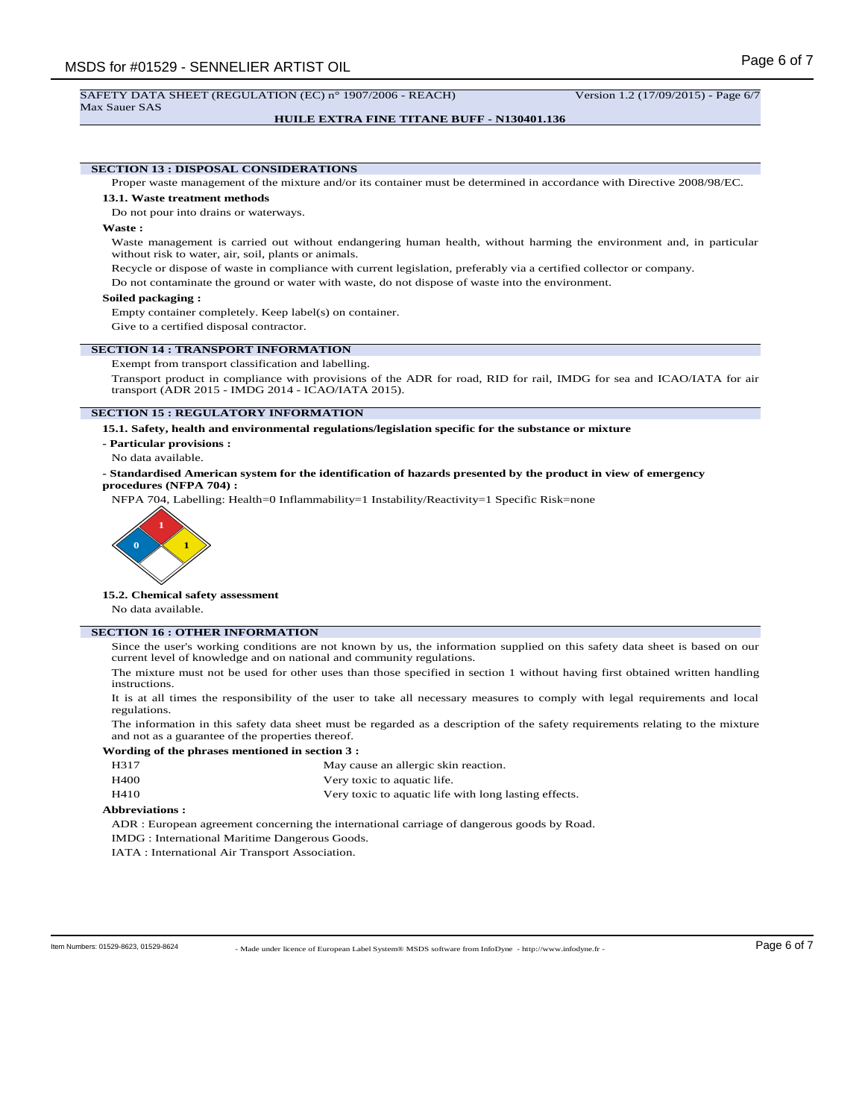Max Sauer SAS

**HUILE EXTRA FINE TITANE BUFF - N130401.136**

# **SECTION 13 : DISPOSAL CONSIDERATIONS**

Proper waste management of the mixture and/or its container must be determined in accordance with Directive 2008/98/EC.

## **13.1. Waste treatment methods**

Do not pour into drains or waterways.

#### **Waste :**

Waste management is carried out without endangering human health, without harming the environment and, in particular without risk to water, air, soil, plants or animals.

Recycle or dispose of waste in compliance with current legislation, preferably via a certified collector or company.

Do not contaminate the ground or water with waste, do not dispose of waste into the environment.

## **Soiled packaging :**

Empty container completely. Keep label(s) on container.

Give to a certified disposal contractor.

## **SECTION 14 : TRANSPORT INFORMATION**

Exempt from transport classification and labelling.

Transport product in compliance with provisions of the ADR for road, RID for rail, IMDG for sea and ICAO/IATA for air transport (ADR 2015 - IMDG 2014 - ICAO/IATA 2015).

#### **SECTION 15 : REGULATORY INFORMATION**

**15.1. Safety, health and environmental regulations/legislation specific for the substance or mixture**

- **Particular provisions :**
- No data available.
- **Standardised American system for the identification of hazards presented by the product in view of emergency procedures (NFPA 704) :**

NFPA 704, Labelling: Health=0 Inflammability=1 Instability/Reactivity=1 Specific Risk=none



#### **15.2. Chemical safety assessment**

No data available.

# **SECTION 16 : OTHER INFORMATION**

Since the user's working conditions are not known by us, the information supplied on this safety data sheet is based on our current level of knowledge and on national and community regulations.

The mixture must not be used for other uses than those specified in section 1 without having first obtained written handling instructions.

It is at all times the responsibility of the user to take all necessary measures to comply with legal requirements and local regulations.

The information in this safety data sheet must be regarded as a description of the safety requirements relating to the mixture and not as a guarantee of the properties thereof.

# **Wording of the phrases mentioned in section 3 :**

- H317 May cause an allergic skin reaction.
- H400 Very toxic to aquatic life.
- H410 Very toxic to aquatic life with long lasting effects.

## **Abbreviations :**

ADR : European agreement concerning the international carriage of dangerous goods by Road.

IMDG : International Maritime Dangerous Goods.

IATA : International Air Transport Association.

- Made under licence of European Label System® MSDS software from InfoDyne - http://www.infodyne.fr - Item Numbers: 01529-8623, 01529-8624 Page 6 of 7